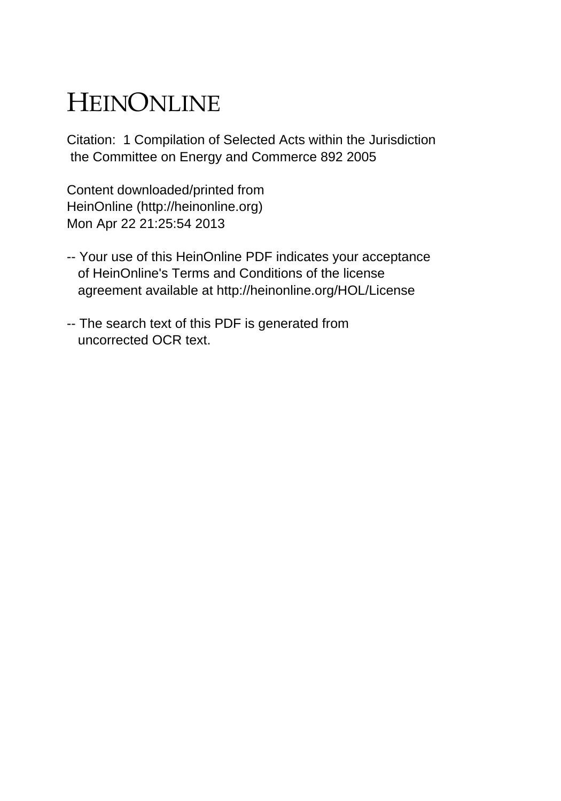## HEINONLINE

Citation: 1 Compilation of Selected Acts within the Jurisdiction the Committee on Energy and Commerce 892 2005

Content downloaded/printed from HeinOnline (http://heinonline.org) Mon Apr 22 21:25:54 2013

- -- Your use of this HeinOnline PDF indicates your acceptance of HeinOnline's Terms and Conditions of the license agreement available at http://heinonline.org/HOL/License
- -- The search text of this PDF is generated from uncorrected OCR text.